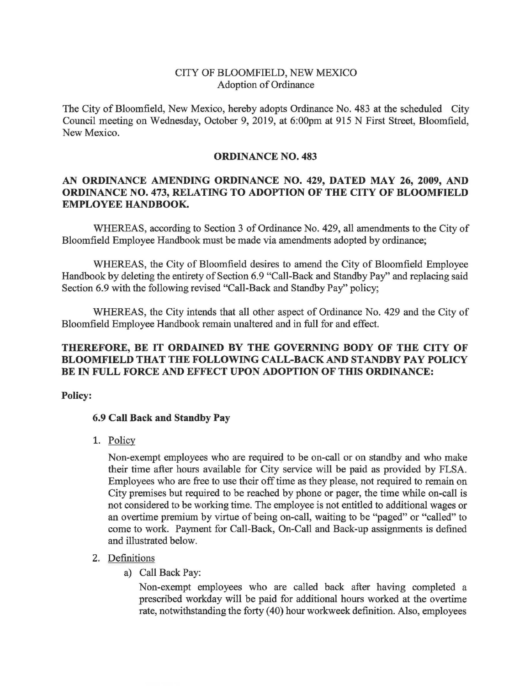## CITY OF BLOOMFIELD, NEW MEXICO Adoption of Ordinance

The City of Bloomfield, New Mexico, hereby adopts Ordinance No. 483 at the scheduled City Council meeting on Wednesday, October 9, 2019, at 6:00pm at 915 N First Street, Bloomfield, New Mexico.

### **ORDINANCE NO. 483**

# **AN ORDINANCE AMENDING ORDINANCE NO. 429, DATED MAY 26, 2009, AND ORDINANCE NO. 473, RELATING TO ADOPTION OF THE CITY OF BLOOMFIELD EMPLOYEE HANDBOOK.**

WHEREAS, according to Section 3 of Ordinance No. 429, all amendments to the City of Bloomfield Employee Handbook must be made via amendments adopted by ordinance;

WHEREAS, the City of Bloomfield desires to amend the City of Bloomfield Employee Handbook by deleting the entirety of Section 6.9 "Call-Back and Standby Pay" and replacing said Section 6.9 with the following revised "Call-Back and Standby Pay" policy;

WHEREAS, the City intends that all other aspect of Ordinance No. 429 and the City of Bloomfield Employee Handbook remain unaltered and in full for and effect.

## **THEREFORE, BE IT ORDAINED BY THE GOVERNING BODY OF THE CITY OF BLOOMFIELD THAT THE FOLLOWING CALL-BACK AND STANDBY PAY POLICY BE IN FULL FORCE AND EFFECT UPON ADOPTION OF THIS ORDINANCE:**

**Policy:** 

## **6.9 Call Back and Standby Pay**

1. Policy

Non-exempt employees who are required to be on-call or on standby and who make their time after hours available for City service will be paid as provided by FLSA. Employees who are free to use their off time as they please, not required to remain on City premises but required to be reached by phone or pager, the time while on-call is not considered to be working time. The employee is not entitled to additional wages or an overtime premium by virtue of being on-call, waiting to be "paged" or "called" to come to work. Payment for Call-Back, On-Call and Back-up assignments is defined and illustrated below.

## 2. Definitions

a) Call Back Pay:

Non-exempt employees who are called back after having completed a prescribed workday will be paid for additional hours worked at the overtime rate, notwithstanding the forty (40) hour workweek definition. Also, employees